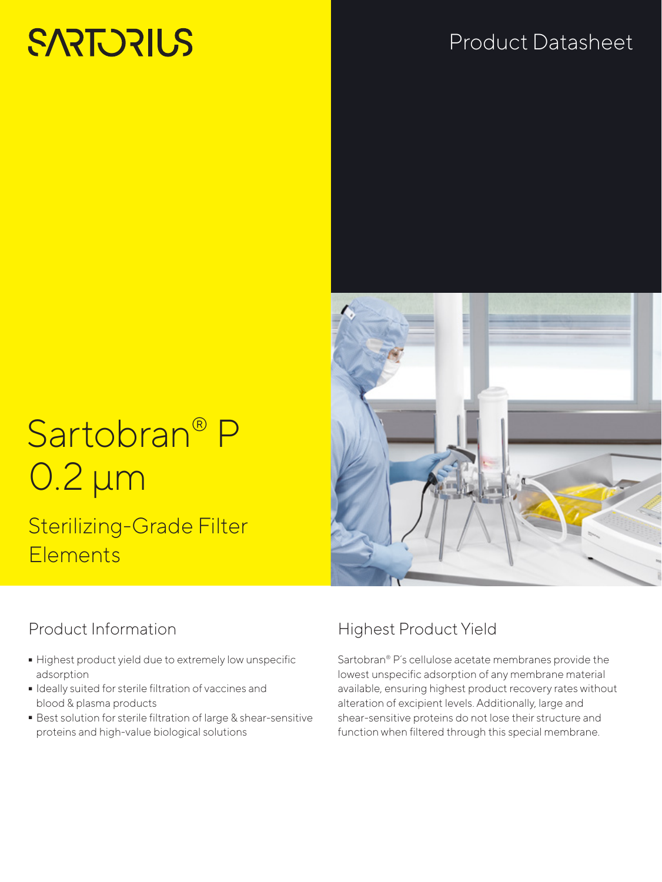# **SARTORIUS**

# Product Datasheet

# Sartobran® P 0.2 µm

## Sterilizing-Grade Filter **Elements**

## Product Information

- Highest product yield due to extremely low unspecific adsorption
- Ideally suited for sterile filtration of vaccines and blood & plasma products
- Best solution for sterile filtration of large & shear-sensitive proteins and high-value biological solutions

## Highest Product Yield

Sartobran® P´s cellulose acetate membranes provide the lowest unspecific adsorption of any membrane material available, ensuring highest product recovery rates without alteration of excipient levels. Additionally, large and shear-sensitive proteins do not lose their structure and function when filtered through this special membrane.

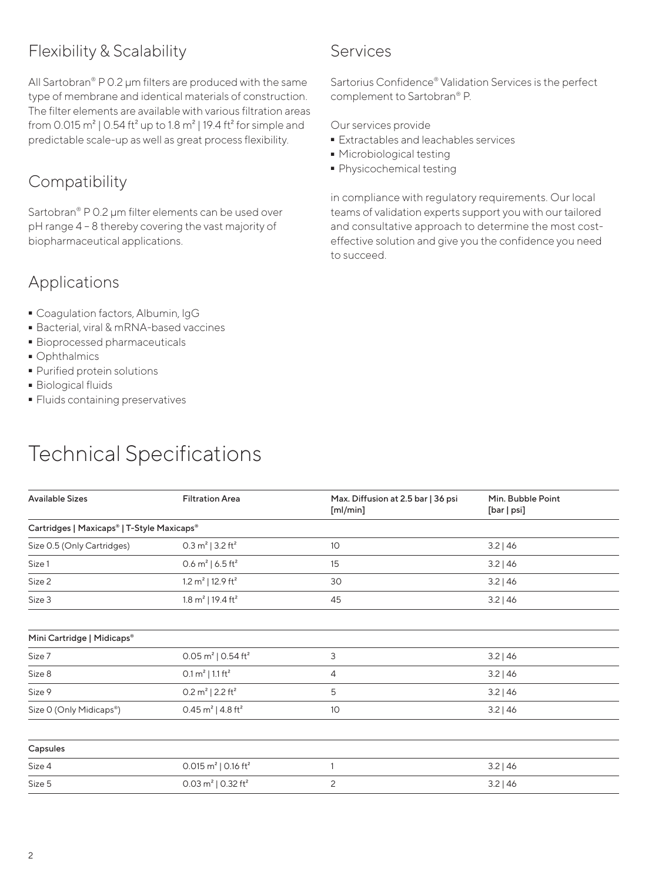## Flexibility & Scalability

All Sartobran® P 0.2 μm filters are produced with the same type of membrane and identical materials of construction. The filter elements are available with various filtration areas from 0.015  $m^2$  | 0.54 ft<sup>2</sup> up to 1.8  $m^2$  | 19.4 ft<sup>2</sup> for simple and predictable scale-up as well as great process flexibility.

## **Compatibility**

Sartobran® P 0.2 μm filter elements can be used over pH range 4 – 8 thereby covering the vast majority of biopharmaceutical applications.

### Applications

- Coagulation factors, Albumin, lgG
- Bacterial, viral & mRNA-based vaccines<br>- Bioprocessed pharmaceuticals<br>- Ophthalmics
- Bioprocessed pharmaceuticals
- 
- Ophthalmics<br>• Purified prote - Purified protein solutions
- 
- Biological fluids<br>• Fluids containin - Fluids containing preservatives

# Technical Specifications

| Services |
|----------|
|          |
|          |
|          |

Sartorius Confidence® Validation Services is the perfect complement to Sartobran® P.

Our services provide

- **Extractables and leachables services**<br>• Microbiological testing
- 
- Microbiological testing<br>■ Physicochemical testin  $\blacksquare$  Physicochemical testing<br>

in compliance with regulatory requirements. Our local teams of validation experts support you with our tailored and consultative approach to determine the most costeffective solution and give you the confidence you need to succeed.

| <b>Available Sizes</b>                     | <b>Filtration Area</b>                     | Max. Diffusion at 2.5 bar   36 psi<br>[m]/min] | Min. Bubble Point<br>[bar   psi] |  |  |
|--------------------------------------------|--------------------------------------------|------------------------------------------------|----------------------------------|--|--|
| Cartridges   Maxicaps®   T-Style Maxicaps® |                                            |                                                |                                  |  |  |
| Size 0.5 (Only Cartridges)                 | 0.3 $m^2$   3.2 ft <sup>2</sup>            | 10                                             | 3.2   46                         |  |  |
| Size 1                                     | 0.6 $m^2$   6.5 ft <sup>2</sup>            | 15                                             | 3.2   46                         |  |  |
| Size 2                                     | 1.2 $m^2$   12.9 ft <sup>2</sup>           | 30                                             | $3.2$   46                       |  |  |
| Size 3                                     | 1.8 $m^2$   19.4 ft <sup>2</sup>           | 45                                             | 3.2   46                         |  |  |
|                                            |                                            |                                                |                                  |  |  |
| Mini Cartridge   Midicaps®                 |                                            |                                                |                                  |  |  |
| Size 7                                     | 0.05 m <sup>2</sup>   0.54 ft <sup>2</sup> | 3                                              | $3.2$   46                       |  |  |
| Size 8                                     | $0.1 \text{ m}^2$   1.1 ft <sup>2</sup>    | 4                                              | 3.2   46                         |  |  |
| Size 9                                     | 0.2 $m^2$   2.2 ft <sup>2</sup>            | 5                                              | $3.2$   46                       |  |  |
| Size O (Only Midicaps®)                    | 0.45 $m^2$   4.8 ft <sup>2</sup>           | 10                                             | 3.2   46                         |  |  |
|                                            |                                            |                                                |                                  |  |  |
| Capsules                                   |                                            |                                                |                                  |  |  |
| Size 4                                     | 0.015 $m^2$   0.16 ft <sup>2</sup>         | 1                                              | 3.2   46                         |  |  |
| Size 5                                     | 0.03 m <sup>2</sup>   0.32 ft <sup>2</sup> | 2                                              | $3.2$   46                       |  |  |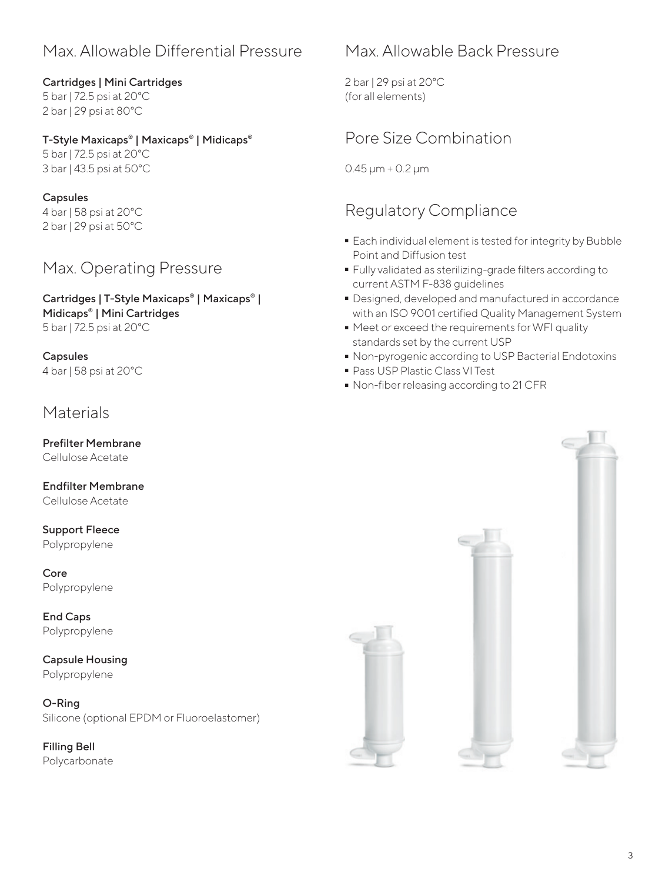## Max. Allowable Differential Pressure

#### Cartridges | Mini Cartridges 5 bar | 72.5 psi at 20°C

2 bar | 29 psi at 80°C

#### T-Style Maxicaps® | Maxicaps® | Midicaps®

5 bar | 72.5 psi at 20°C 3 bar | 43.5 psi at 50°C

#### Capsules

4 bar | 58 psi at 20°C 2 bar | 29 psi at 50°C

## Max. Operating Pressure

Cartridges | T-Style Maxicaps® | Maxicaps® | Midicaps® | Mini Cartridges 5 bar | 72.5 psi at 20°C

Capsules 4 bar | 58 psi at 20°C

#### **Materials**

Prefilter Membrane Cellulose Acetate

Endfilter Membrane Cellulose Acetate

#### Support Fleece Polypropylene

Core Polypropylene

End Caps Polypropylene

Capsule Housing Polypropylene

O-Ring Silicone (optional EPDM or Fluoroelastomer)

Filling Bell Polycarbonate

## Max. Allowable Back Pressure

2 bar | 29 psi at 20°C (for all elements)

## Pore Size Combination

0.45 μm + 0.2 μm

### Regulatory Compliance

- Each individual element is tested for integrity by Bubble Point and Diffusion test
- Fully validated as sterilizing-grade filters according to<br>
current ASTM F-838 guidelines<br>
 Designed, developed and manufactured in accordance current ASTM F-838 guidelines
- Designed, developed and manufactured in accordance with an ISO 9001 certified Quality Management System
- Meet or exceed the requirements for WFI quality standards set by the current USP
- Non-pyrogenic according to USP Bacterial Endotoxins<br>• Pass USP Plastic Class VI Test
- 
- Pass USP Plastic Class VI Test  $\bullet$  Non-fiber releasing according to 21 CFR<br>

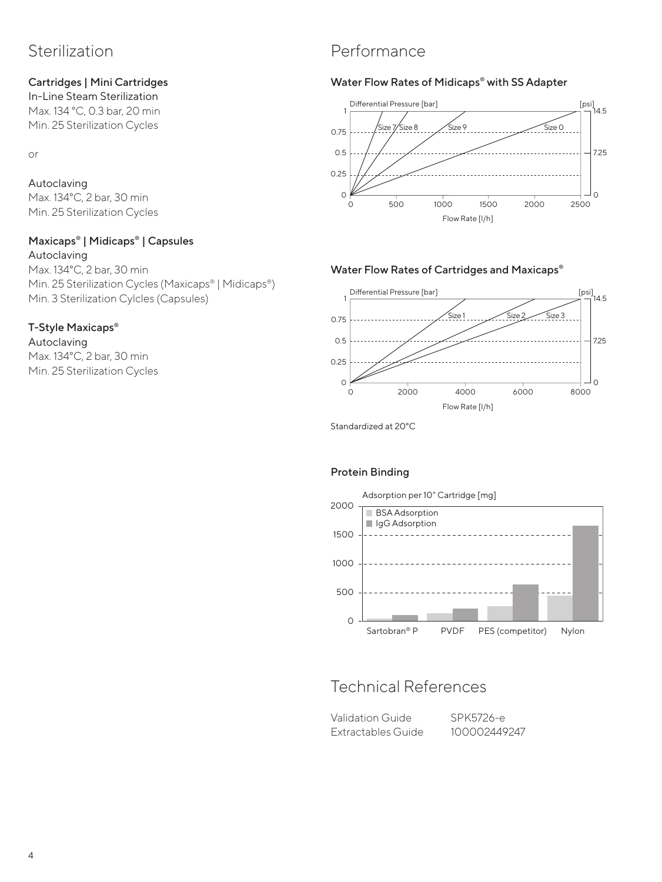## Sterilization

#### Cartridges | Mini Cartridges

In-Line Steam Sterilization Max. 134 °C, 0.3 bar, 20 min Min. 25 Sterilization Cycles

or

## Autoclaving

Max. 134°C, 2 bar, 30 min Min. 25 Sterilization Cycles

#### Maxicaps® | Midicaps® | Capsules

Autoclaving Max. 134°C, 2 bar, 30 min Min. 25 Sterilization Cycles (Maxicaps® | Midicaps®) Min. 3 Sterilization Cylcles (Capsules)

#### T-Style Maxicaps®

Autoclaving Max. 134°C, 2 bar, 30 min Min. 25 Sterilization Cycles

## Performance

#### Water Flow Rates of Midicaps® with SS Adapter



#### Water Flow Rates of Cartridges and Maxicaps®



Standardized at 20°C

#### Protein Binding



## Technical References

Validation Guide SPK5726-e Extractables Guide 100002449247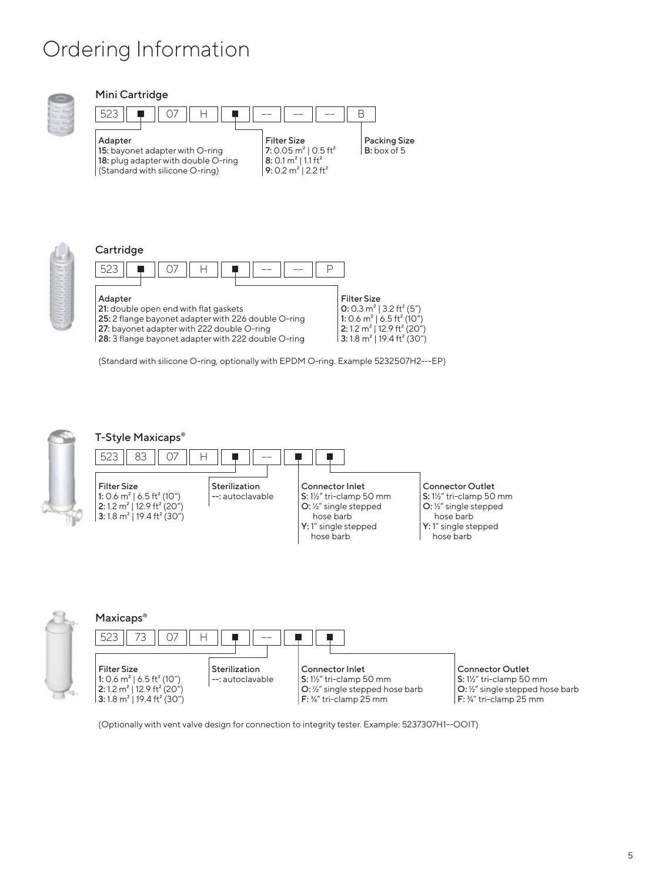## Ordering Information

**3:** 1.8 m<sup>2</sup> | 19.4 ft<sup>2</sup> (30")



#### Mini Cartridge





| Cartridge                                                                                                                                                                                                    |                                                                                                                                                                                                                     |
|--------------------------------------------------------------------------------------------------------------------------------------------------------------------------------------------------------------|---------------------------------------------------------------------------------------------------------------------------------------------------------------------------------------------------------------------|
| 523                                                                                                                                                                                                          |                                                                                                                                                                                                                     |
| Adapter<br>21: double open end with flat gaskets<br>25: 2 flange bayonet adapter with 226 double O-ring<br>27: bayonet adapter with 222 double O-ring<br>28: 3 flange bayonet adapter with 222 double O-ring | <b>Filter Size</b><br>0: 0.3 $m^2$   3.2 ft <sup>2</sup> (5")<br>1: 0.6 $m^2$   6.5 ft <sup>2</sup> (10")<br>2:1.2 m <sup>2</sup>   12.9 ft <sup>2</sup> (20")<br>3:1.8 m <sup>2</sup>   19.4 ft <sup>2</sup> (30") |

(Standard with silicone O-ring, optionally with EPDM O-ring. Example 5232507H2---EP)



O: ½" single stepped hose barb F: ¾" tri-clamp 25 mm

(Optionally with vent valve design for connection to integrity tester. Example: 5237307H1--OOIT)

F: ¾" tri-clamp 25 mm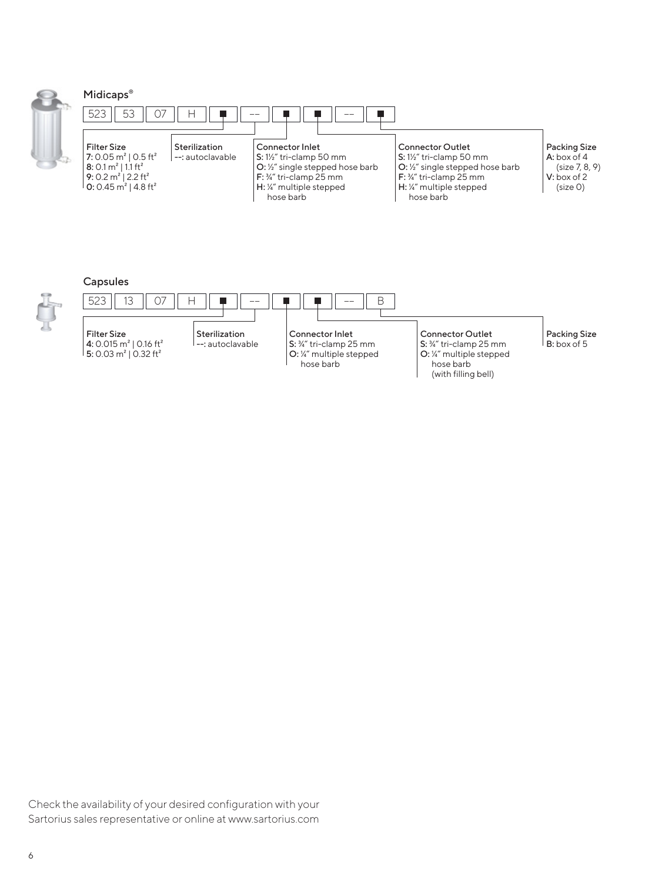

|  | <b>Midicaps</b> |  |
|--|-----------------|--|
|  |                 |  |



#### Capsules



(with filling bell)

Check the availability of your desired configuration with your Sartorius sales representative or online at www.sartorius.com